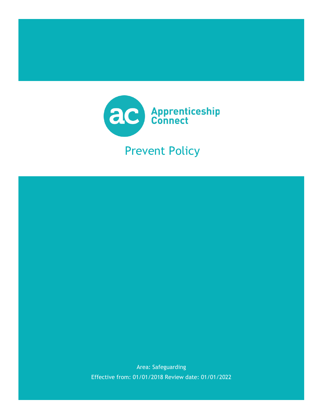

# Prevent Policy

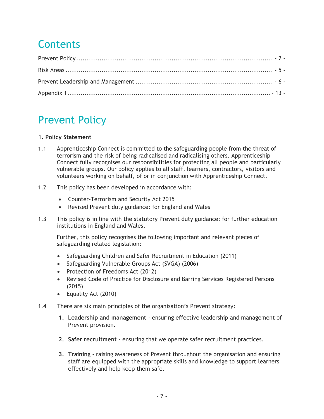# **Contents**

## <span id="page-1-0"></span>Prevent Policy

## **1. Policy Statement**

- 1.1 Apprenticeship Connect is committed to the safeguarding people from the threat of terrorism and the risk of being radicalised and radicalising others. Apprenticeship Connect fully recognises our responsibilities for protecting all people and particularly vulnerable groups. Our policy applies to all staff, learners, contractors, visitors and volunteers working on behalf, of or in conjunction with Apprenticeship Connect.
- 1.2 This policy has been developed in accordance with:
	- Counter-Terrorism and Security Act 2015
	- Revised Prevent duty guidance: for England and Wales
- 1.3 This policy is in line with the statutory Prevent duty guidance: for further education institutions in England and Wales.

Further, this policy recognises the following important and relevant pieces of safeguarding related legislation:

- Safeguarding Children and Safer Recruitment in Education (2011)
- Safeguarding Vulnerable Groups Act (SVGA) (2006)
- Protection of Freedoms Act (2012)
- Revised Code of Practice for Disclosure and Barring Services Registered Persons (2015)
- Equality Act (2010)
- 1.4 There are six main principles of the organisation's Prevent strategy:
	- **1. Leadership and management** ensuring effective leadership and management of Prevent provision.
	- **2. Safer recruitment** ensuring that we operate safer recruitment practices.
	- **3. Training** raising awareness of Prevent throughout the organisation and ensuring staff are equipped with the appropriate skills and knowledge to support learners effectively and help keep them safe.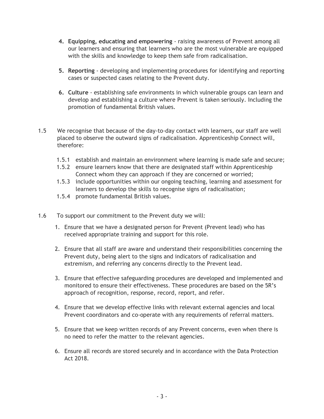- **4. Equipping, educating and empowering** raising awareness of Prevent among all our learners and ensuring that learners who are the most vulnerable are equipped with the skills and knowledge to keep them safe from radicalisation.
- **5. Reporting** developing and implementing procedures for identifying and reporting cases or suspected cases relating to the Prevent duty.
- **6. Culture** establishing safe environments in which vulnerable groups can learn and develop and establishing a culture where Prevent is taken seriously. Including the promotion of fundamental British values.
- 1.5 We recognise that because of the day-to-day contact with learners, our staff are well placed to observe the outward signs of radicalisation. Apprenticeship Connect will, therefore:
	- 1.5.1 establish and maintain an environment where learning is made safe and secure;
	- 1.5.2 ensure learners know that there are designated staff within Apprenticeship Connect whom they can approach if they are concerned or worried;
	- 1.5.3 include opportunities within our ongoing teaching, learning and assessment for learners to develop the skills to recognise signs of radicalisation;
	- 1.5.4 promote fundamental British values.
- 1.6 To support our commitment to the Prevent duty we will:
	- 1. Ensure that we have a designated person for Prevent (Prevent lead) who has received appropriate training and support for this role.
	- 2. Ensure that all staff are aware and understand their responsibilities concerning the Prevent duty, being alert to the signs and indicators of radicalisation and extremism, and referring any concerns directly to the Prevent lead.
	- 3. Ensure that effective safeguarding procedures are developed and implemented and monitored to ensure their effectiveness. These procedures are based on the 5R's approach of recognition, response, record, report, and refer.
	- 4. Ensure that we develop effective links with relevant external agencies and local Prevent coordinators and co-operate with any requirements of referral matters.
	- 5. Ensure that we keep written records of any Prevent concerns, even when there is no need to refer the matter to the relevant agencies.
	- 6. Ensure all records are stored securely and in accordance with the Data Protection Act 2018.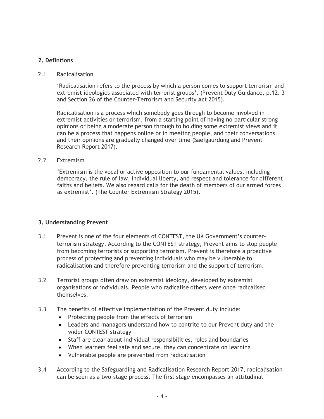## **2. Defintions**

#### 2.1 Radicalisation

'Radicalisation refers to the process by which a person comes to support terrorism and extremist ideologies associated with terrorist groups'. (Prevent Duty Guidance, p.12. 3 and Section 26 of the Counter-Terrorism and Security Act 2015).

Radicalisation is a process which somebody goes through to become involved in extremist activities or terrorism, from a starting point of having no particular strong opinions or being a moderate person through to holding some extremist views and it can be a process that happens online or in meeting people, and their conversations and their opinions are gradually changed over time (Saefgaurdung and Prevent Research Report 2017).

#### 2.2 Extremism

'Extremism is the vocal or active opposition to our fundamental values, including democracy, the rule of law, individual liberty, and respect and tolerance for different faiths and beliefs. We also regard calls for the death of members of our armed forces as extremist'. (The Counter Extremism Strategy 2015).

#### **3. Understanding Prevent**

- 3.1 Prevent is one of the four elements of CONTEST, the UK Government's counterterrorism strategy. According to the CONTEST strategy, Prevent aims to stop people from becoming terrorists or supporting terrorism. Prevent is therefore a proactive process of protecting and preventing individuals who may be vulnerable to radicalisation and therefore preventing terrorism and the support of terrorism.
- 3.2 Terrorist groups often draw on extremist ideology, developed by extremist organisations or individuals. People who radicalise others were once radicalised themselves.
- 3.3 The benefits of effective implementation of the Prevent duty include:
	- Protecting people from the effects of terrorism
	- Leaders and managers understand how to contrite to our Prevent duty and the wider CONTEST strategy
	- Staff are clear about individual responsibilities, roles and boundaries
	- When learners feel safe and secure, they can concentrate on learning
	- Vulnerable people are prevented from radicalisation
- 3.4 According to the Safeguarding and Radicalisation Research Report 2017, radicalisation can be seen as a two-stage process. The first stage encompasses an attitudinal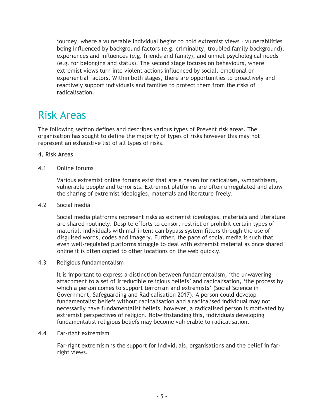journey, where a vulnerable individual begins to hold extremist views – vulnerabilities being influenced by background factors (e.g. criminality, troubled family background), experiences and influences (e.g. friends and family), and unmet psychological needs (e.g. for belonging and status). The second stage focuses on behaviours, where extremist views turn into violent actions influenced by social, emotional or experiential factors. Within both stages, there are opportunities to proactively and reactively support individuals and families to protect them from the risks of radicalisation.

## <span id="page-4-0"></span>Risk Areas

The following section defines and describes various types of Prevent risk areas. The organisation has sought to define the majority of types of risks however this may not represent an exhaustive list of all types of risks.

## **4. Risk Areas**

4.1 Online forums

Various extremist online forums exist that are a haven for radicalises, sympathisers, vulnerable people and terrorists. Extremist platforms are often unregulated and allow the sharing of extremist ideologies, materials and literature freely.

4.2 Social media

Social media platforms represent risks as extremist ideologies, materials and literature are shared routinely. Despite efforts to censor, restrict or prohibit certain types of material, individuals with mal-intent can bypass system filters through the use of disguised words, codes and imagery. Further, the pace of social media is such that even well-regulated platforms struggle to deal with extremist material as once shared online it is often copied to other locations on the web quickly.

4.3 Religious fundamentalism

It is important to express a distinction between fundamentalism, 'the unwavering attachment to a set of irreducible religious beliefs' and radicalisation, 'the process by which a person comes to support terrorism and extremists' (Social Science in Government, Safeguarding and Radicalisation 2017). A person could develop fundamentalist beliefs without radicalisation and a radicalised individual may not necessarily have fundamentalist beliefs, however, a radicalised person is motivated by extremist perspectives of religion. Notwithstanding this, individuals developing fundamentalist religious beliefs may become vulnerable to radicalisation.

4.4 Far-right extremism

Far-right extremism is the support for individuals, organisations and the belief in farright views.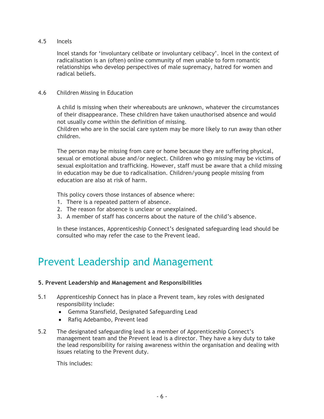## 4.5 Incels

Incel stands for 'involuntary celibate or involuntary celibacy'. Incel in the context of radicalisation is an (often) online community of men unable to form romantic relationships who develop perspectives of male supremacy, hatred for women and radical beliefs.

## 4.6 Children Missing in Education

A child is missing when their whereabouts are unknown, whatever the circumstances of their disappearance. These children have taken unauthorised absence and would not usually come within the definition of missing.

Children who are in the social care system may be more likely to run away than other children.

The person may be missing from care or home because they are suffering physical, sexual or emotional abuse and/or neglect. Children who go missing may be victims of sexual exploitation and trafficking. However, staff must be aware that a child missing in education may be due to radicalisation. Children/young people missing from education are also at risk of harm.

This policy covers those instances of absence where:

- 1. There is a repeated pattern of absence.
- 2. The reason for absence is unclear or unexplained.
- 3. A member of staff has concerns about the nature of the child's absence.

In these instances, Apprenticeship Connect's designated safeguarding lead should be consulted who may refer the case to the Prevent lead.

## <span id="page-5-0"></span>Prevent Leadership and Management

#### **5. Prevent Leadership and Management and Responsibilities**

- 5.1 Apprenticeship Connect has in place a Prevent team, key roles with designated responsibility include:
	- Gemma Stansfield, Designated Safeguarding Lead
	- Rafiq Adebambo, Prevent lead
- 5.2 The designated safeguarding lead is a member of Apprenticeship Connect's management team and the Prevent lead is a director. They have a key duty to take the lead responsibility for raising awareness within the organisation and dealing with issues relating to the Prevent duty.

This includes: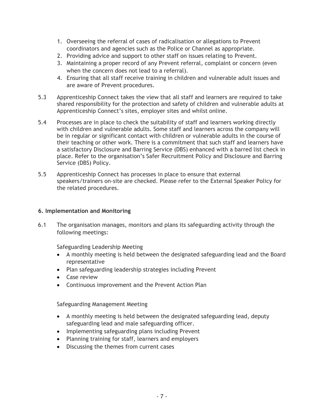- 1. Overseeing the referral of cases of radicalisation or allegations to Prevent coordinators and agencies such as the Police or Channel as appropriate.
- 2. Providing advice and support to other staff on issues relating to Prevent.
- 3. Maintaining a proper record of any Prevent referral, complaint or concern (even when the concern does not lead to a referral).
- 4. Ensuring that all staff receive training in children and vulnerable adult issues and are aware of Prevent procedures.
- 5.3 Apprenticeship Connect takes the view that all staff and learners are required to take shared responsibility for the protection and safety of children and vulnerable adults at Apprenticeship Connect's sites, employer sites and whilst online.
- 5.4 Processes are in place to check the suitability of staff and learners working directly with children and vulnerable adults. Some staff and learners across the company will be in regular or significant contact with children or vulnerable adults in the course of their teaching or other work. There is a commitment that such staff and learners have a satisfactory Disclosure and Barring Service (DBS) enhanced with a barred list check in place. Refer to the organisation's Safer Recruitment Policy and Disclosure and Barring Service (DBS) Policy.
- 5.5 Apprenticeship Connect has processes in place to ensure that external speakers/trainers on-site are checked. Please refer to the External Speaker Policy for the related procedures.

## **6. Implementation and Monitoring**

6.1 The organisation manages, monitors and plans its safeguarding activity through the following meetings:

Safeguarding Leadership Meeting

- A monthly meeting is held between the designated safeguarding lead and the Board representative
- Plan safeguarding leadership strategies including Prevent
- Case review
- Continuous improvement and the Prevent Action Plan

Safeguarding Management Meeting

- A monthly meeting is held between the designated safeguarding lead, deputy safeguarding lead and male safeguarding officer.
- Implementing safeguarding plans including Prevent
- Planning training for staff, learners and employers
- Discussing the themes from current cases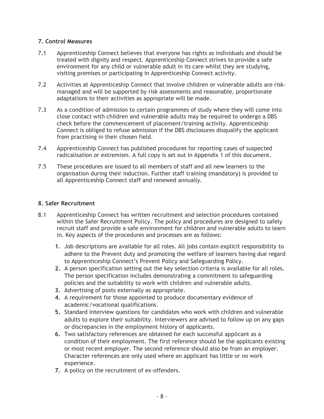## **7. Control Measures**

- 7.1 Apprenticeship Connect believes that everyone has rights as individuals and should be treated with dignity and respect. Apprenticeship Connect strives to provide a safe environment for any child or vulnerable adult in its care whilst they are studying, visiting premises or participating in Apprenticeship Connect activity.
- 7.2 Activities at Apprenticeship Connect that involve children or vulnerable adults are riskmanaged and will be supported by risk assessments and reasonable, proportionate adaptations to their activities as appropriate will be made.
- 7.3 As a condition of admission to certain programmes of study where they will come into close contact with children and vulnerable adults may be required to undergo a DBS check before the commencement of placement/training activity. Apprenticeship Connect is obliged to refuse admission if the DBS disclosures disqualify the applicant from practising in their chosen field.
- 7.4 Apprenticeship Connect has published procedures for reporting cases of suspected radicalisation or extremism. A full copy is set out in Appendix 1 of this document.
- 7.5 These procedures are issued to all members of staff and all new learners to the organisation during their induction. Further staff training (mandatory) is provided to all Apprenticeship Connect staff and renewed annually.

## **8. Safer Recruitment**

- 8.1 Apprenticeship Connect has written recruitment and selection procedures contained within the Safer Recruitment Policy. The policy and procedures are designed to safely recruit staff and provide a safe environment for children and vulnerable adults to learn in. Key aspects of the procedures and processes are as follows:
	- **1.** Job descriptions are available for all roles. All jobs contain explicit responsibility to adhere to the Prevent duty and promoting the welfare of learners having due regard to Apprenticeship Connect's Prevent Policy and Safeguarding Policy.
	- **2.** A person specification setting out the key selection criteria is available for all roles. The person specification includes demonstrating a commitment to safeguarding policies and the suitability to work with children and vulnerable adults.
	- **3.** Advertising of posts externally as appropriate.
	- **4.** A requirement for those appointed to produce documentary evidence of academic/vocational qualifications.
	- **5.** Standard interview questions for candidates who work with children and vulnerable adults to explore their suitability. Interviewers are advised to follow up on any gaps or discrepancies in the employment history of applicants.
	- **6.** Two satisfactory references are obtained for each successful applicant as a condition of their employment. The first reference should be the applicants existing or most recent employer. The second reference should also be from an employer. Character references are only used where an applicant has little or no work experience.
	- **7.** A policy on the recruitment of ex-offenders.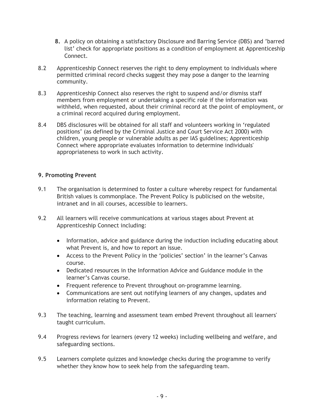- **8.** A policy on obtaining a satisfactory Disclosure and Barring Service (DBS) and 'barred list' check for appropriate positions as a condition of employment at Apprenticeship Connect.
- 8.2 Apprenticeship Connect reserves the right to deny employment to individuals where permitted criminal record checks suggest they may pose a danger to the learning community.
- 8.3 Apprenticeship Connect also reserves the right to suspend and/or dismiss staff members from employment or undertaking a specific role if the information was withheld, when requested, about their criminal record at the point of employment, or a criminal record acquired during employment.
- 8.4 DBS disclosures will be obtained for all staff and volunteers working in 'regulated positions' (as defined by the Criminal Justice and Court Service Act 2000) with children, young people or vulnerable adults as per IAS guidelines; Apprenticeship Connect where appropriate evaluates information to determine individuals' appropriateness to work in such activity.

## **9. Promoting Prevent**

- 9.1 The organisation is determined to foster a culture whereby respect for fundamental British values is commonplace. The Prevent Policy is publicised on the website, intranet and in all courses, accessible to learners.
- 9.2 All learners will receive communications at various stages about Prevent at Apprenticeship Connect including:
	- Information, advice and guidance during the induction including educating about what Prevent is, and how to report an issue.
	- Access to the Prevent Policy in the 'policies' section' in the learner's Canvas course.
	- Dedicated resources in the Information Advice and Guidance module in the learner's Canvas course.
	- Frequent reference to Prevent throughout on-programme learning.
	- Communications are sent out notifying learners of any changes, updates and information relating to Prevent.
- 9.3 The teaching, learning and assessment team embed Prevent throughout all learners' taught curriculum.
- 9.4 Progress reviews for learners (every 12 weeks) including wellbeing and welfare, and safeguarding sections.
- 9.5 Learners complete quizzes and knowledge checks during the programme to verify whether they know how to seek help from the safeguarding team.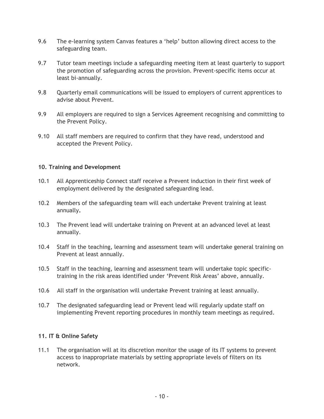- 9.6 The e-learning system Canvas features a 'help' button allowing direct access to the safeguarding team.
- 9.7 Tutor team meetings include a safeguarding meeting item at least quarterly to support the promotion of safeguarding across the provision. Prevent-specific items occur at least bi-annually.
- 9.8 Quarterly email communications will be issued to employers of current apprentices to advise about Prevent.
- 9.9 All employers are required to sign a Services Agreement recognising and committing to the Prevent Policy.
- 9.10 All staff members are required to confirm that they have read, understood and accepted the Prevent Policy.

#### **10. Training and Development**

- 10.1 All Apprenticeship Connect staff receive a Prevent induction in their first week of employment delivered by the designated safeguarding lead.
- 10.2 Members of the safeguarding team will each undertake Prevent training at least annually**.**
- 10.3 The Prevent lead will undertake training on Prevent at an advanced level at least annually.
- 10.4 Staff in the teaching, learning and assessment team will undertake general training on Prevent at least annually.
- 10.5 Staff in the teaching, learning and assessment team will undertake topic specifictraining in the risk areas identified under 'Prevent Risk Areas' above, annually.
- 10.6 All staff in the organisation will undertake Prevent training at least annually.
- 10.7 The designated safeguarding lead or Prevent lead will regularly update staff on implementing Prevent reporting procedures in monthly team meetings as required.

#### **11. IT & Online Safety**

11.1 The organisation will at its discretion monitor the usage of its IT systems to prevent access to inappropriate materials by setting appropriate levels of filters on its network.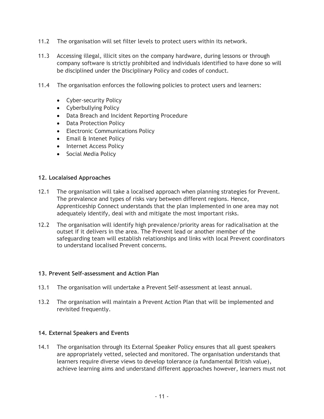- 11.2 The organisation will set filter levels to protect users within its network.
- 11.3 Accessing illegal, illicit sites on the company hardware, during lessons or through company software is strictly prohibited and individuals identified to have done so will be disciplined under the Disciplinary Policy and codes of conduct.
- 11.4 The organisation enforces the following policies to protect users and learners:
	- Cyber-security Policy
	- Cyberbullying Policy
	- Data Breach and Incident Reporting Procedure
	- Data Protection Policy
	- Electronic Communications Policy
	- Email & Intenet Policy
	- Internet Access Policy
	- Social Media Policy

#### **12. Localaised Approaches**

- 12.1 The organisation will take a localised approach when planning strategies for Prevent. The prevalence and types of risks vary between different regions. Hence, Apprenticeship Connect understands that the plan implemented in one area may not adequately identify, deal with and mitigate the most important risks.
- 12.2 The organisation will identify high prevalence/priority areas for radicalisation at the outset if it delivers in the area. The Prevent lead or another member of the safeguarding team will establish relationships and links with local Prevent coordinators to understand localised Prevent concerns.

#### **13. Prevent Self-assessment and Action Plan**

- 13.1 The organisation will undertake a Prevent Self-assessment at least annual.
- 13.2 The organisation will maintain a Prevent Action Plan that will be implemented and revisited frequently.

#### **14. External Speakers and Events**

14.1 The organisation through its External Speaker Policy ensures that all guest speakers are appropriately vetted, selected and monitored. The organisation understands that learners require diverse views to develop tolerance (a fundamental British value), achieve learning aims and understand different approaches however, learners must not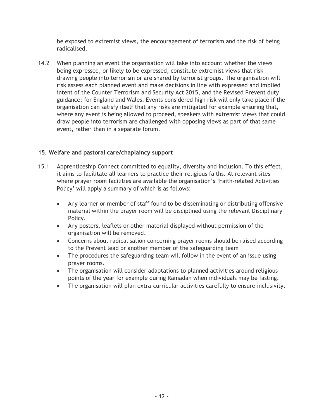be exposed to extremist views, the encouragement of terrorism and the risk of being radicalised.

14.2 When planning an event the organisation will take into account whether the views being expressed, or likely to be expressed, constitute extremist views that risk drawing people into terrorism or are shared by terrorist groups. The organisation will risk assess each planned event and make decisions in line with expressed and implied intent of the Counter Terrorism and Security Act 2015, and the Revised Prevent duty guidance: for England and Wales. Events considered high risk will only take place if the organisation can satisfy itself that any risks are mitigated for example ensuring that, where any event is being allowed to proceed, speakers with extremist views that could draw people into terrorism are challenged with opposing views as part of that same event, rather than in a separate forum.

## **15. Welfare and pastoral care/chaplaincy support**

- 15.1 Apprenticeship Connect committed to equality, diversity and inclusion. To this effect, it aims to facilitate all learners to practice their religious faiths. At relevant sites where prayer room facilities are available the organisation's 'Faith-related Activities Policy' will apply a summary of which is as follows:
	- Any learner or member of staff found to be disseminating or distributing offensive material within the prayer room will be disciplined using the relevant Disciplinary Policy.
	- Any posters, leaflets or other material displayed without permission of the organisation will be removed.
	- Concerns about radicalisation concerning prayer rooms should be raised according to the Prevent lead or another member of the safeguarding team
	- The procedures the safeguarding team will follow in the event of an issue using prayer rooms.
	- The organisation will consider adaptations to planned activities around religious points of the year for example during Ramadan when individuals may be fasting.
	- The organisation will plan extra-curricular activities carefully to ensure inclusivity.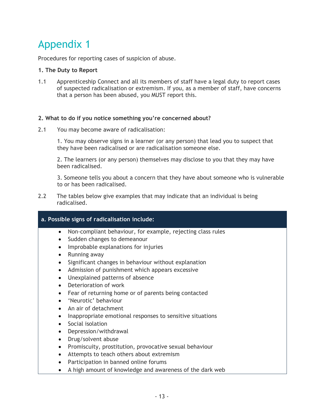# <span id="page-12-0"></span>Appendix 1

Procedures for reporting cases of suspicion of abuse.

#### **1. The Duty to Report**

1.1 Apprenticeship Connect and all its members of staff have a legal duty to report cases of suspected radicalisation or extremism. If you, as a member of staff, have concerns that a person has been abused, you MUST report this.

#### **2. What to do if you notice something you're concerned about?**

2.1 You may become aware of radicalisation:

1. You may observe signs in a learner (or any person) that lead you to suspect that they have been radicalised or are radicalisation someone else.

2. The learners (or any person) themselves may disclose to you that they may have been radicalised.

3. Someone tells you about a concern that they have about someone who is vulnerable to or has been radicalised.

2.2 The tables below give examples that may indicate that an individual is being radicalised.

## **a. Possible signs of radicalisation include:**

- Non-compliant behaviour, for example, rejecting class rules
- Sudden changes to demeanour
- Improbable explanations for injuries
- Running away
- Significant changes in behaviour without explanation
- Admission of punishment which appears excessive
- Unexplained patterns of absence
- Deterioration of work
- Fear of returning home or of parents being contacted
- 'Neurotic' behaviour
- An air of detachment
- Inappropriate emotional responses to sensitive situations
- Social isolation
- Depression/withdrawal
- Drug/solvent abuse
- Promiscuity, prostitution, provocative sexual behaviour
- Attempts to teach others about extremism
- Participation in banned online forums
- A high amount of knowledge and awareness of the dark web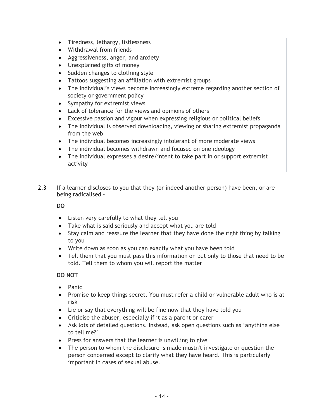- Tiredness, lethargy, listlessness
- Withdrawal from friends
- Aggressiveness, anger, and anxiety
- Unexplained gifts of money
- Sudden changes to clothing style
- Tattoos suggesting an affiliation with extremist groups
- The individual's views become increasingly extreme regarding another section of society or government policy
- Sympathy for extremist views
- Lack of tolerance for the views and opinions of others
- Excessive passion and vigour when expressing religious or political beliefs
- The individual is observed downloading, viewing or sharing extremist propaganda from the web
- The individual becomes increasingly intolerant of more moderate views
- The individual becomes withdrawn and focused on one ideology
- The individual expresses a desire/intent to take part in or support extremist activity
- 2.3 If a learner discloses to you that they (or indeed another person) have been, or are being radicalised -

## **DO**

- Listen very carefully to what they tell you
- Take what is said seriously and accept what you are told
- Stay calm and reassure the learner that they have done the right thing by talking to you
- Write down as soon as you can exactly what you have been told
- Tell them that you must pass this information on but only to those that need to be told. Tell them to whom you will report the matter

## **DO NOT**

- Panic
- Promise to keep things secret. You must refer a child or vulnerable adult who is at risk
- Lie or say that everything will be fine now that they have told you
- Criticise the abuser, especially if it as a parent or carer
- Ask lots of detailed questions. Instead, ask open questions such as 'anything else to tell me?'
- Press for answers that the learner is unwilling to give
- The person to whom the disclosure is made mustn't investigate or question the person concerned except to clarify what they have heard. This is particularly important in cases of sexual abuse.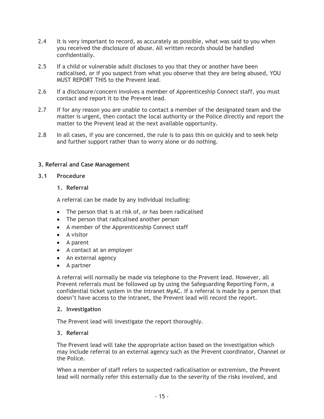- 2.4 It is very important to record, as accurately as possible, what was said to you when you received the disclosure of abuse. All written records should be handled confidentially.
- 2.5 If a child or vulnerable adult discloses to you that they or another have been radicalised, or if you suspect from what you observe that they are being abused, YOU MUST REPORT THIS to the Prevent lead.
- 2.6 If a disclosure/concern involves a member of Apprenticeship Connect staff, you must contact and report it to the Prevent lead.
- 2.7 If for any reason you are unable to contact a member of the designated team and the matter is urgent, then contact the local authority or the Police directly and report the matter to the Prevent lead at the next available opportunity.
- 2.8 In all cases, if you are concerned, the rule is to pass this on quickly and to seek help and further support rather than to worry alone or do nothing.

## **3. Referral and Case Management**

- **3.1 Procedure** 
	- **1. Referral**

A referral can be made by any individual including:

- The person that is at risk of, or has been radicalised
- The person that radicalised another person
- A member of the Apprenticeship Connect staff
- A visitor
- A parent
- A contact at an employer
- An external agency
- A partner

A referral will normally be made via telephone to the Prevent lead. However, all Prevent referrals must be followed up by using the Safeguarding Reporting Form, a confidential ticket system in the intranet MyAC. If a referral is made by a person that doesn't have access to the intranet, the Prevent lead will record the report.

#### **2. Investigation**

The Prevent lead will investigate the report thoroughly.

## **3. Referral**

The Prevent lead will take the appropriate action based on the investigation which may include referral to an external agency such as the Prevent coordinator, Channel or the Police.

When a member of staff refers to suspected radicalisation or extremism, the Prevent lead will normally refer this externally due to the severity of the risks involved, and